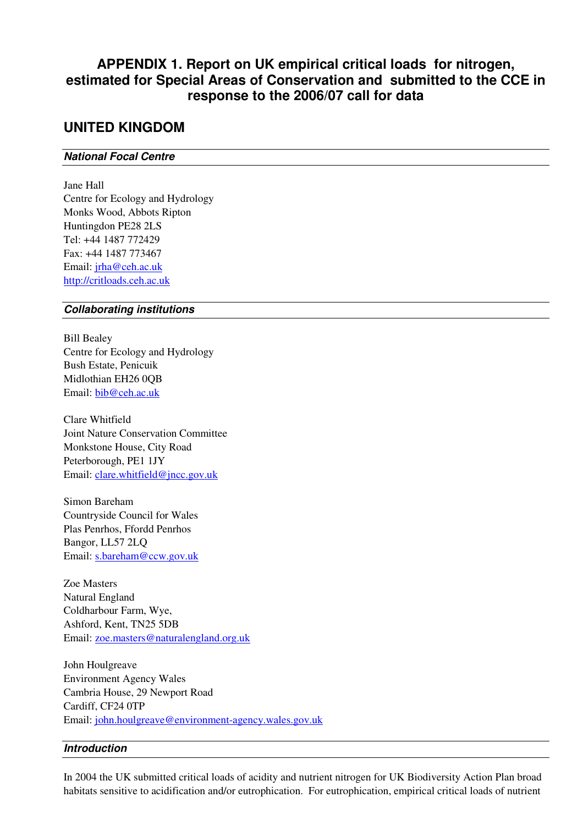# **APPENDIX 1. Report on UK empirical critical loads for nitrogen, estimated for Special Areas of Conservation and submitted to the CCE in response to the 2006/07 call for data**

## **UNITED KINGDOM**

#### **National Focal Centre**

Jane Hall Centre for Ecology and Hydrology Monks Wood, Abbots Ripton Huntingdon PE28 2LS Tel: +44 1487 772429 Fax: +44 1487 773467 Email: jrha@ceh.ac.uk http://critloads.ceh.ac.uk

### **Collaborating institutions**

Bill Bealey Centre for Ecology and Hydrology Bush Estate, Penicuik Midlothian EH26 0QB Email: bib@ceh.ac.uk

Clare Whitfield Joint Nature Conservation Committee Monkstone House, City Road Peterborough, PE1 1JY Email: clare.whitfield@jncc.gov.uk

Simon Bareham Countryside Council for Wales Plas Penrhos, Ffordd Penrhos Bangor, LL57 2LQ Email: s.bareham@ccw.gov.uk

Zoe Masters Natural England Coldharbour Farm, Wye, Ashford, Kent, TN25 5DB Email: zoe.masters@naturalengland.org.uk

John Houlgreave Environment Agency Wales Cambria House, 29 Newport Road Cardiff, CF24 0TP Email: john.houlgreave@environment-agency.wales.gov.uk

#### **Introduction**

In 2004 the UK submitted critical loads of acidity and nutrient nitrogen for UK Biodiversity Action Plan broad habitats sensitive to acidification and/or eutrophication. For eutrophication, empirical critical loads of nutrient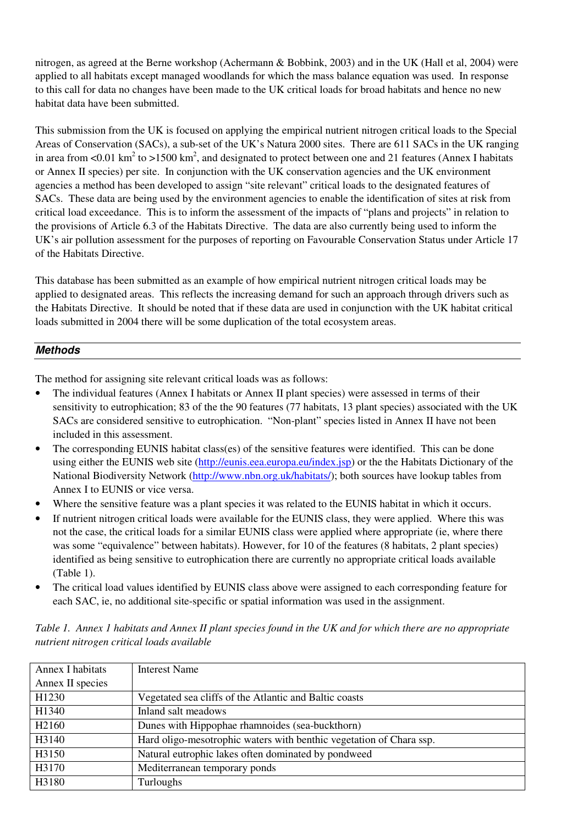nitrogen, as agreed at the Berne workshop (Achermann & Bobbink, 2003) and in the UK (Hall et al, 2004) were applied to all habitats except managed woodlands for which the mass balance equation was used. In response to this call for data no changes have been made to the UK critical loads for broad habitats and hence no new habitat data have been submitted.

This submission from the UK is focused on applying the empirical nutrient nitrogen critical loads to the Special Areas of Conservation (SACs), a sub-set of the UK's Natura 2000 sites. There are 611 SACs in the UK ranging in area from <0.01 km<sup>2</sup> to >1500 km<sup>2</sup>, and designated to protect between one and 21 features (Annex I habitats or Annex II species) per site. In conjunction with the UK conservation agencies and the UK environment agencies a method has been developed to assign "site relevant" critical loads to the designated features of SACs. These data are being used by the environment agencies to enable the identification of sites at risk from critical load exceedance. This is to inform the assessment of the impacts of "plans and projects" in relation to the provisions of Article 6.3 of the Habitats Directive. The data are also currently being used to inform the UK's air pollution assessment for the purposes of reporting on Favourable Conservation Status under Article 17 of the Habitats Directive.

This database has been submitted as an example of how empirical nutrient nitrogen critical loads may be applied to designated areas. This reflects the increasing demand for such an approach through drivers such as the Habitats Directive. It should be noted that if these data are used in conjunction with the UK habitat critical loads submitted in 2004 there will be some duplication of the total ecosystem areas.

## **Methods**

The method for assigning site relevant critical loads was as follows:

- The individual features (Annex I habitats or Annex II plant species) were assessed in terms of their sensitivity to eutrophication; 83 of the the 90 features (77 habitats, 13 plant species) associated with the UK SACs are considered sensitive to eutrophication. "Non-plant" species listed in Annex II have not been included in this assessment.
- The corresponding EUNIS habitat class(es) of the sensitive features were identified. This can be done using either the EUNIS web site (http://eunis.eea.europa.eu/index.jsp) or the the Habitats Dictionary of the National Biodiversity Network (http://www.nbn.org.uk/habitats/); both sources have lookup tables from Annex I to EUNIS or vice versa.
- Where the sensitive feature was a plant species it was related to the EUNIS habitat in which it occurs.
- If nutrient nitrogen critical loads were available for the EUNIS class, they were applied. Where this was not the case, the critical loads for a similar EUNIS class were applied where appropriate (ie, where there was some "equivalence" between habitats). However, for 10 of the features (8 habitats, 2 plant species) identified as being sensitive to eutrophication there are currently no appropriate critical loads available (Table 1).
- The critical load values identified by EUNIS class above were assigned to each corresponding feature for each SAC, ie, no additional site-specific or spatial information was used in the assignment.

| Annex I habitats  | Interest Name                                                       |
|-------------------|---------------------------------------------------------------------|
| Annex II species  |                                                                     |
| H1230             | Vegetated sea cliffs of the Atlantic and Baltic coasts              |
| H1340             | Inland salt meadows                                                 |
| H <sub>2160</sub> | Dunes with Hippophae rhamnoides (sea-buckthorn)                     |
| H3140             | Hard oligo-mesotrophic waters with benthic vegetation of Chara ssp. |
| H3150             | Natural eutrophic lakes often dominated by pondweed                 |
| H3170             | Mediterranean temporary ponds                                       |
| H3180             | Turloughs                                                           |

*Table 1. Annex 1 habitats and Annex II plant species found in the UK and for which there are no appropriate nutrient nitrogen critical loads available*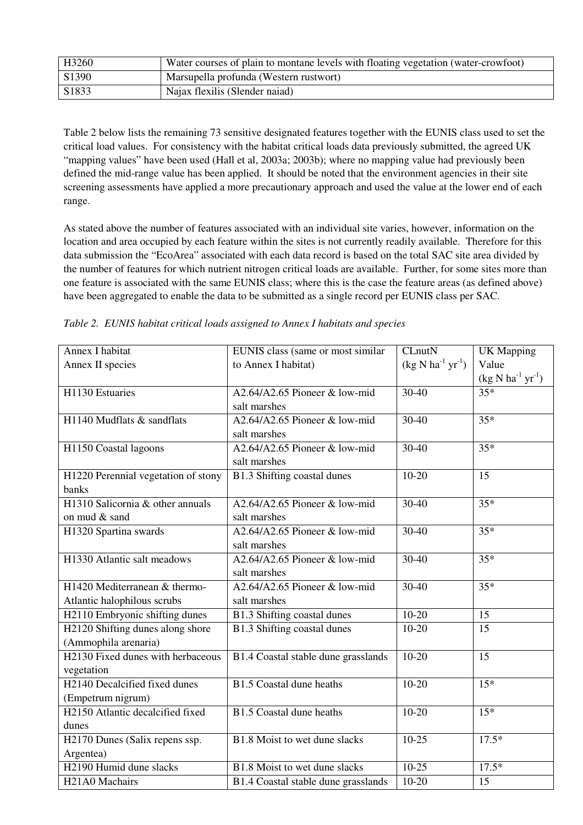| H3260 | Water courses of plain to montane levels with floating vegetation (water-crowfoot) |
|-------|------------------------------------------------------------------------------------|
| S1390 | Marsupella profunda (Western rustwort)                                             |
| S1833 | Najax flexilis (Slender naiad)                                                     |

Table 2 below lists the remaining 73 sensitive designated features together with the EUNIS class used to set the critical load values. For consistency with the habitat critical loads data previously submitted, the agreed UK "mapping values" have been used (Hall et al, 2003a; 2003b); where no mapping value had previously been defined the mid-range value has been applied. It should be noted that the environment agencies in their site screening assessments have applied a more precautionary approach and used the value at the lower end of each range.

As stated above the number of features associated with an individual site varies, however, information on the location and area occupied by each feature within the sites is not currently readily available. Therefore for this data submission the "EcoArea" associated with each data record is based on the total SAC site area divided by the number of features for which nutrient nitrogen critical loads are available. Further, for some sites more than one feature is associated with the same EUNIS class; where this is the case the feature areas (as defined above) have been aggregated to enable the data to be submitted as a single record per EUNIS class per SAC.

| Annex I habitat                           | EUNIS class (same or most similar   | CLnutN                   | <b>UK</b> Mapping        |
|-------------------------------------------|-------------------------------------|--------------------------|--------------------------|
| Annex II species                          | to Annex I habitat)                 | $(kg N ha^{-1} yr^{-1})$ | Value                    |
|                                           |                                     |                          | $(kg N ha^{-1} yr^{-1})$ |
| H1130 Estuaries                           | A2.64/A2.65 Pioneer & low-mid       | $30-40$                  | $35*$                    |
|                                           | salt marshes                        |                          |                          |
| H1140 Mudflats & sandflats                | A2.64/A2.65 Pioneer & low-mid       | $30 - 40$                | $35*$                    |
|                                           | salt marshes                        |                          |                          |
| H1150 Coastal lagoons                     | A2.64/A2.65 Pioneer & low-mid       | $30-40$                  | $35*$                    |
|                                           | salt marshes                        |                          |                          |
| H1220 Perennial vegetation of stony       | B1.3 Shifting coastal dunes         | $10-20$                  | 15                       |
| banks                                     |                                     |                          |                          |
| H1310 Salicornia & other annuals          | A2.64/A2.65 Pioneer & low-mid       | $30 - 40$                | $35*$                    |
| on mud & sand                             | salt marshes                        |                          |                          |
| H1320 Spartina swards                     | A2.64/A2.65 Pioneer & low-mid       | $30-40$                  | $35*$                    |
|                                           | salt marshes                        |                          |                          |
| H1330 Atlantic salt meadows               | A2.64/A2.65 Pioneer & low-mid       | $30-40$                  | $35*$                    |
|                                           | salt marshes                        |                          |                          |
| H1420 Mediterranean & thermo-             | A2.64/A2.65 Pioneer & low-mid       | $30-40$                  | $35*$                    |
| Atlantic halophilous scrubs               | salt marshes                        |                          |                          |
| H2110 Embryonic shifting dunes            | <b>B1.3 Shifting coastal dunes</b>  | $10-20$                  | 15                       |
| H2120 Shifting dunes along shore          | B1.3 Shifting coastal dunes         | $10 - 20$                | 15                       |
| (Ammophila arenaria)                      |                                     |                          |                          |
| H2130 Fixed dunes with herbaceous         | B1.4 Coastal stable dune grasslands | $10-20$                  | 15                       |
| vegetation                                |                                     |                          |                          |
| H <sub>2140</sub> Decalcified fixed dunes | B1.5 Coastal dune heaths            | $10-20$                  | $15*$                    |
| (Empetrum nigrum)                         |                                     |                          |                          |
| H2150 Atlantic decalcified fixed          | <b>B1.5</b> Coastal dune heaths     | $10-20$                  | $15*$                    |
| dunes                                     |                                     |                          |                          |
| H2170 Dunes (Salix repens ssp.            | B1.8 Moist to wet dune slacks       | $10-25$                  | $17.5*$                  |
| Argentea)                                 |                                     |                          |                          |
| H <sub>2</sub> 190 Humid dune slacks      | B1.8 Moist to wet dune slacks       | $10-25$                  | $17.5*$                  |
| H <sub>21</sub> A0 Machairs               | B1.4 Coastal stable dune grasslands | $10 - 20$                | 15                       |

*Table 2. EUNIS habitat critical loads assigned to Annex I habitats and species*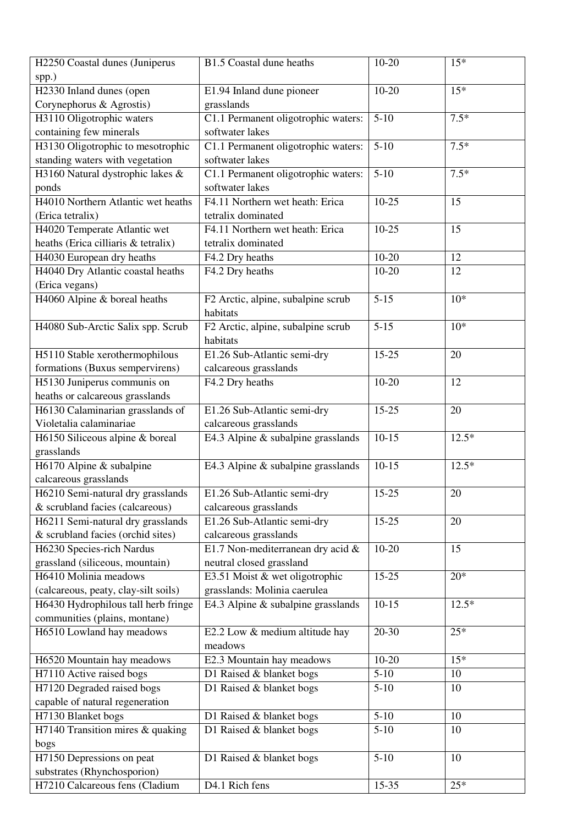| H2250 Coastal dunes (Juniperus       | B1.5 Coastal dune heaths              | $10 - 20$ | $15*$   |
|--------------------------------------|---------------------------------------|-----------|---------|
| spp.)                                |                                       |           |         |
| H2330 Inland dunes (open             | E1.94 Inland dune pioneer             | $10 - 20$ | $15*$   |
| Corynephorus & Agrostis)             | grasslands                            |           |         |
| H3110 Oligotrophic waters            | C1.1 Permanent oligotrophic waters:   | $5-10$    | $7.5*$  |
| containing few minerals              | softwater lakes                       |           |         |
| H3130 Oligotrophic to mesotrophic    | C1.1 Permanent oligotrophic waters:   | $5-10$    | $7.5*$  |
| standing waters with vegetation      | softwater lakes                       |           |         |
| H3160 Natural dystrophic lakes &     | C1.1 Permanent oligotrophic waters:   | $5 - 10$  | $7.5*$  |
| ponds                                | softwater lakes                       |           |         |
| H4010 Northern Atlantic wet heaths   | F4.11 Northern wet heath: Erica       | $10 - 25$ | 15      |
| (Erica tetralix)                     | tetralix dominated                    |           |         |
| H4020 Temperate Atlantic wet         | F4.11 Northern wet heath: Erica       | $10 - 25$ | 15      |
| heaths (Erica cilliaris & tetralix)  | tetralix dominated                    |           |         |
| H4030 European dry heaths            | F4.2 Dry heaths                       | $10 - 20$ | 12      |
| H4040 Dry Atlantic coastal heaths    | F4.2 Dry heaths                       | $10 - 20$ | 12      |
| (Erica vegans)                       |                                       |           |         |
| H4060 Alpine & boreal heaths         | F2 Arctic, alpine, subalpine scrub    | $5 - 15$  | $10*$   |
|                                      | habitats                              |           |         |
| H4080 Sub-Arctic Salix spp. Scrub    | F2 Arctic, alpine, subalpine scrub    | $5 - 15$  | $10*$   |
|                                      | habitats                              |           |         |
| H5110 Stable xerothermophilous       | E1.26 Sub-Atlantic semi-dry           | $15 - 25$ | 20      |
| formations (Buxus sempervirens)      | calcareous grasslands                 |           |         |
| H5130 Juniperus communis on          | F4.2 Dry heaths                       | $10 - 20$ | 12      |
| heaths or calcareous grasslands      |                                       |           |         |
| H6130 Calaminarian grasslands of     | E1.26 Sub-Atlantic semi-dry           | $15 - 25$ | $20\,$  |
| Violetalia calaminariae              | calcareous grasslands                 |           |         |
| H6150 Siliceous alpine & boreal      | E4.3 Alpine & subalpine grasslands    | $10 - 15$ | $12.5*$ |
| grasslands                           |                                       |           |         |
| H6170 Alpine & subalpine             | E4.3 Alpine $\&$ subalpine grasslands | $10-15$   | $12.5*$ |
| calcareous grasslands                |                                       |           |         |
| H6210 Semi-natural dry grasslands    | E1.26 Sub-Atlantic semi-dry           | $15-25$   | $20\,$  |
| & scrubland facies (calcareous)      | calcareous grasslands                 |           |         |
| H6211 Semi-natural dry grasslands    | E1.26 Sub-Atlantic semi-dry           | $15 - 25$ | 20      |
| & scrubland facies (orchid sites)    | calcareous grasslands                 |           |         |
| H6230 Species-rich Nardus            | E1.7 Non-mediterranean dry acid &     | $10 - 20$ | 15      |
| grassland (siliceous, mountain)      | neutral closed grassland              |           |         |
| H6410 Molinia meadows                | E3.51 Moist & wet oligotrophic        | $15 - 25$ | $20*$   |
| (calcareous, peaty, clay-silt soils) | grasslands: Molinia caerulea          |           |         |
| H6430 Hydrophilous tall herb fringe  | E4.3 Alpine & subalpine grasslands    | $10 - 15$ | $12.5*$ |
| communities (plains, montane)        |                                       |           |         |
| H6510 Lowland hay meadows            | E2.2 Low & medium altitude hay        | 20-30     | $25*$   |
|                                      | meadows                               |           |         |
| H6520 Mountain hay meadows           | E2.3 Mountain hay meadows             | $10-20$   | $15*$   |
| H7110 Active raised bogs             | D1 Raised & blanket bogs              | $5-10$    | 10      |
| H7120 Degraded raised bogs           | D1 Raised & blanket bogs              | $5-10$    | 10      |
| capable of natural regeneration      |                                       |           |         |
| H7130 Blanket bogs                   | D1 Raised & blanket bogs              | $5 - 10$  | 10      |
| H7140 Transition mires & quaking     | $\overline{D1}$ Raised & blanket bogs | $5-10$    | 10      |
|                                      |                                       |           |         |
| bogs<br>H7150 Depressions on peat    | D1 Raised & blanket bogs              | $5-10$    | 10      |
| substrates (Rhynchosporion)          |                                       |           |         |
| H7210 Calcareous fens (Cladium       | D4.1 Rich fens                        | 15-35     | $25*$   |
|                                      |                                       |           |         |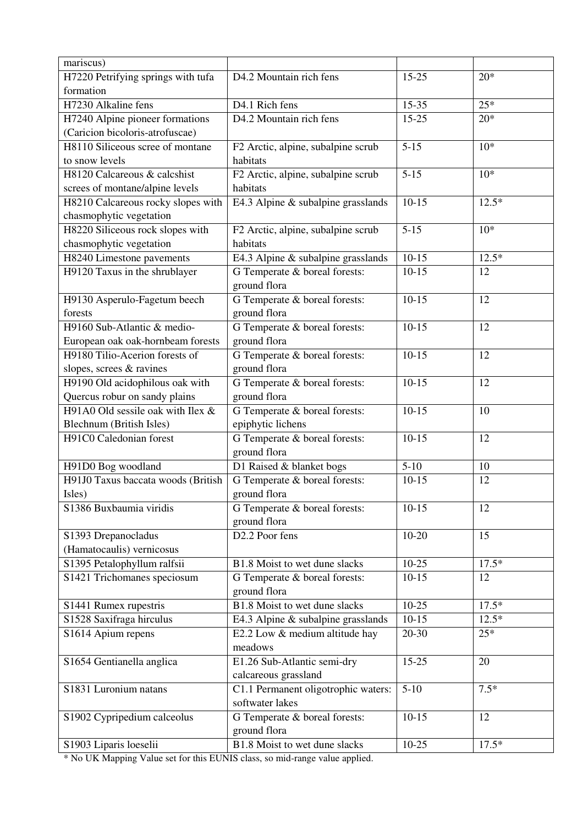| mariscus)                          |                                       |           |         |
|------------------------------------|---------------------------------------|-----------|---------|
| H7220 Petrifying springs with tufa | D4.2 Mountain rich fens               | $15 - 25$ | $20*$   |
| formation                          |                                       |           |         |
| H7230 Alkaline fens                | D4.1 Rich fens                        | $15 - 35$ | $25*$   |
| H7240 Alpine pioneer formations    | D4.2 Mountain rich fens               | $15 - 25$ | $20*$   |
| (Caricion bicoloris-atrofuscae)    |                                       |           |         |
| H8110 Siliceous scree of montane   | F2 Arctic, alpine, subalpine scrub    | $5 - 15$  | $10*$   |
| to snow levels                     | habitats                              |           |         |
| H8120 Calcareous & calcshist       | F2 Arctic, alpine, subalpine scrub    | $5 - 15$  | $10*$   |
| screes of montane/alpine levels    | habitats                              |           |         |
| H8210 Calcareous rocky slopes with | E4.3 Alpine & subalpine grasslands    | $10-15$   | $12.5*$ |
| chasmophytic vegetation            |                                       |           |         |
| H8220 Siliceous rock slopes with   | F2 Arctic, alpine, subalpine scrub    | $5 - 15$  | $10*$   |
| chasmophytic vegetation            | habitats                              |           |         |
| H8240 Limestone pavements          | E4.3 Alpine & subalpine grasslands    | $10-15$   | $12.5*$ |
| H9120 Taxus in the shrublayer      | G Temperate & boreal forests:         | $10-15$   | 12      |
|                                    | ground flora                          |           |         |
| H9130 Asperulo-Fagetum beech       | G Temperate & boreal forests:         | $10-15$   | 12      |
| forests                            | ground flora                          |           |         |
| H9160 Sub-Atlantic & medio-        | G Temperate & boreal forests:         | $10-15$   | 12      |
| European oak oak-hornbeam forests  | ground flora                          |           |         |
| H9180 Tilio-Acerion forests of     | G Temperate & boreal forests:         | $10-15$   | 12      |
| slopes, screes & ravines           | ground flora                          |           |         |
| H9190 Old acidophilous oak with    | G Temperate & boreal forests:         | $10-15$   | 12      |
| Quercus robur on sandy plains      | ground flora                          |           |         |
| H91A0 Old sessile oak with Ilex &  | G Temperate & boreal forests:         | $10-15$   | 10      |
| Blechnum (British Isles)           | epiphytic lichens                     |           |         |
| H91C0 Caledonian forest            | G Temperate & boreal forests:         | $10-15$   | 12      |
|                                    | ground flora                          |           |         |
| H91D0 Bog woodland                 | D1 Raised & blanket bogs              | $5-10$    | 10      |
| H91J0 Taxus baccata woods (British | G Temperate & boreal forests:         | $10-15$   | 12      |
| Isles)                             | ground flora                          |           |         |
| S1386 Buxbaumia viridis            | G Temperate & boreal forests:         | $10-15$   | 12      |
|                                    | ground flora                          |           |         |
| S1393 Drepanocladus                | D2.2 Poor fens                        | $10 - 20$ | 15      |
| (Hamatocaulis) vernicosus          |                                       |           |         |
| S1395 Petalophyllum ralfsii        | B1.8 Moist to wet dune slacks         | $10-25$   | $17.5*$ |
| S1421 Trichomanes speciosum        | G Temperate & boreal forests:         | $10-15$   | 12      |
|                                    | ground flora                          |           |         |
| S1441 Rumex rupestris              | B1.8 Moist to wet dune slacks         | $10-25$   | $17.5*$ |
| S1528 Saxifraga hirculus           | E4.3 Alpine $\&$ subalpine grasslands | $10-15$   | $12.5*$ |
| S1614 Apium repens                 | E2.2 Low & medium altitude hay        | 20-30     | $25*$   |
|                                    | meadows                               |           |         |
| S1654 Gentianella anglica          | E1.26 Sub-Atlantic semi-dry           | 15-25     | 20      |
|                                    | calcareous grassland                  |           |         |
| S1831 Luronium natans              | C1.1 Permanent oligotrophic waters:   | $5-10$    | $7.5*$  |
|                                    | softwater lakes                       |           |         |
| S1902 Cypripedium calceolus        | G Temperate & boreal forests:         | $10-15$   | 12      |
|                                    | ground flora                          |           |         |
| S1903 Liparis loeselii             | B1.8 Moist to wet dune slacks         | $10-25$   | $17.5*$ |

\* No UK Mapping Value set for this EUNIS class, so mid-range value applied.